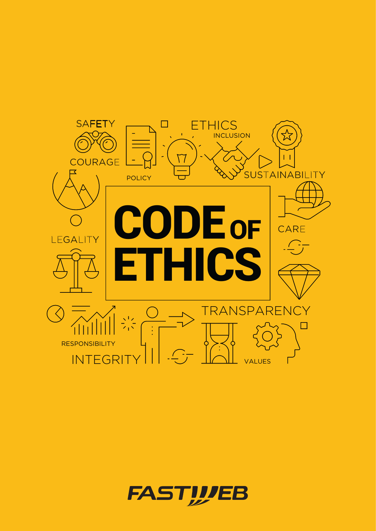

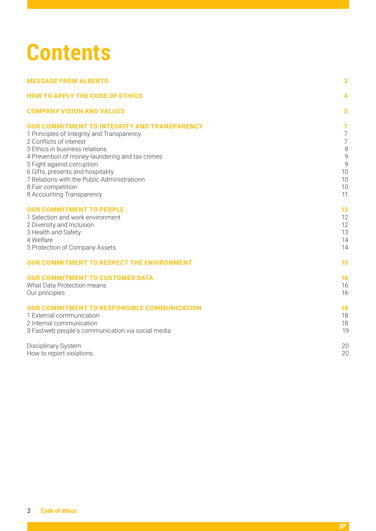# **Contents**

| <b>MESSAGE FROM ALBERTO</b>                                                      | 3              |
|----------------------------------------------------------------------------------|----------------|
| <b>HOW TO APPLY THE CODE OF ETHICS</b>                                           | 4              |
| <b>COMPANY VISION AND VALUES</b>                                                 | 5              |
| <b>OUR COMMITMENT TO INTEGRITY AND TRANSPARENCY</b>                              | $\overline{7}$ |
| 1 Principles of Integrity and Transparency                                       | $\overline{7}$ |
| 2 Conflicts of interest                                                          | $\overline{7}$ |
| 3 Ethics in business relations                                                   | 8              |
| 4 Prevention of money-laundering and tax crimes                                  | 9              |
| 5 Fight against corruption                                                       | 9              |
| 6 Gifts, presents and hospitality<br>7 Relations with the Public Administrationn | 10<br>10       |
| 8 Fair competition                                                               | 10             |
| 9 Accounting Transparency                                                        | 11             |
|                                                                                  |                |
| <b>OUR COMMITMENT TO PEOPLE</b>                                                  | 12             |
| 1 Selection and work environment                                                 | 12             |
| 2 Diversity and Inclusion                                                        | 12             |
| 3 Health and Safety                                                              | 13             |
| 4 Welfare                                                                        | 14             |
| 5 Protection of Company Assets                                                   | 14             |
| <b>OUR COMMITMENT TO RESPECT THE ENVIRONMENT</b>                                 | 15             |
| <b>OUR COMMITMENT TO CUSTOMER DATA</b>                                           | 16             |
| What Data Protection means                                                       | 16             |
| Our principles                                                                   | 16             |
| <b>OUR COMMITMENT TO RESPONSIBLE COMMUNICATION</b>                               | 18             |
| 1 External communication                                                         | 18             |
| 2 Internal communication                                                         | 18             |
| 3 Fastweb people's communication via social media                                | 19             |
| Disciplinary System                                                              | 2C             |
| How to report violations                                                         | 2C             |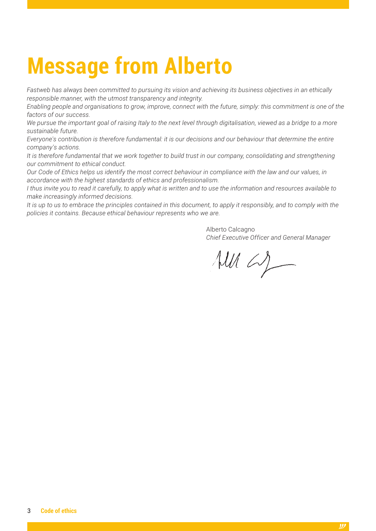# <span id="page-2-0"></span>**Message from Alberto**

*Fastweb has always been committed to pursuing its vision and achieving its business objectives in an ethically responsible manner, with the utmost transparency and integrity.* 

*Enabling people and organisations to grow, improve, connect with the future, simply: this commitment is one of the factors of our success.*

*We pursue the important goal of raising Italy to the next level through digitalisation, viewed as a bridge to a more sustainable future.*

*Everyone's contribution is therefore fundamental: it is our decisions and our behaviour that determine the entire company's actions.*

It is therefore fundamental that we work together to build trust in our company, consolidating and strengthening *our commitment to ethical conduct.*

*Our Code of Ethics helps us identify the most correct behaviour in compliance with the law and our values, in accordance with the highest standards of ethics and professionalism.* 

*I thus invite you to read it carefully, to apply what is written and to use the information and resources available to make increasingly informed decisions.*

*It is up to us to embrace the principles contained in this document, to apply it responsibly, and to comply with the policies it contains. Because ethical behaviour represents who we are.*

> Alberto Calcagno *Chief Executive Officer and General Manager*

 $\mathcal{M}\mathcal{U}\subset\mathcal{L}$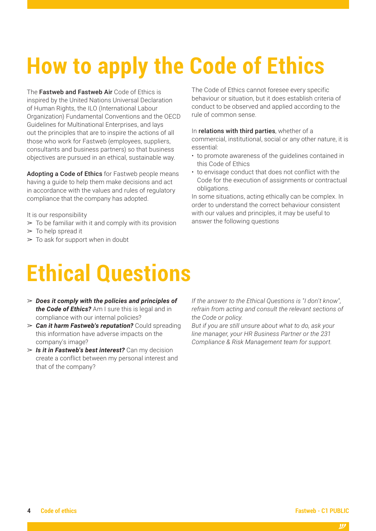# <span id="page-3-0"></span>**How to apply the Code of Ethics**

The Fastweb and Fastweb Air Code of Ethics is inspired by the United Nations Universal Declaration of Human Rights, the ILO (International Labour Organization) Fundamental Conventions and the OECD Guidelines for Multinational Enterprises, and lays out the principles that are to inspire the actions of all those who work for Fastweb (employees, suppliers, consultants and business partners) so that business objectives are pursued in an ethical, sustainable way.

Adopting a Code of Ethics for Fastweb people means having a guide to help them make decisions and act in accordance with the values and rules of regulatory compliance that the company has adopted.

It is our responsibility

- $\geq$  To be familiar with it and comply with its provision
- $\geq$  To help spread it
- $\geq$  To ask for support when in doubt

The Code of Ethics cannot foresee every specific behaviour or situation, but it does establish criteria of conduct to be observed and applied according to the rule of common sense.

#### In relations with third parties, whether of a

commercial, institutional, social or any other nature, it is essential:

- to promote awareness of the guidelines contained in this Code of Ethics
- to envisage conduct that does not conflict with the Code for the execution of assignments or contractual obligations.

In some situations, acting ethically can be complex. In order to understand the correct behaviour consistent with our values and principles, it may be useful to answer the following questions

# **Ethical Questions**

- ➢ *Does it comply with the policies and principles of the Code of Ethics?* Am I sure this is legal and in compliance with our internal policies?
- ➢ *Can it harm Fastweb's reputation?* Could spreading this information have adverse impacts on the company's image?
- ➢ *Is it in Fastweb's best interest?* Can my decision create a conflict between my personal interest and that of the company?

*If the answer to the Ethical Questions is "I don't know", refrain from acting and consult the relevant sections of the Code or policy.*

*But if you are still unsure about what to do, ask your line manager, your HR Business Partner or the 231 Compliance & Risk Management team for support.*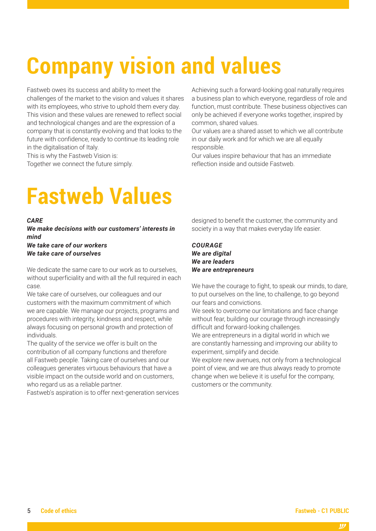# <span id="page-4-0"></span>**Company vision and values**

Fastweb owes its success and ability to meet the challenges of the market to the vision and values it shares with its employees, who strive to uphold them every day. This vision and these values are renewed to reflect social and technological changes and are the expression of a company that is constantly evolving and that looks to the future with confidence, ready to continue its leading role in the digitalisation of Italy.

This is why the Fastweb Vision is:

Together we connect the future simply.

Achieving such a forward-looking goal naturally requires a business plan to which everyone, regardless of role and function, must contribute. These business objectives can only be achieved if everyone works together, inspired by common, shared values.

Our values are a shared asset to which we all contribute in our daily work and for which we are all equally responsible.

Our values inspire behaviour that has an immediate reflection inside and outside Fastweb.

## **Fastweb Values**

#### *CARE*

*We make decisions with our customers' interests in mind We take care of our workers We take care of ourselves*

We dedicate the same care to our work as to ourselves without superficiality and with all the full required in each case.

We take care of ourselves, our colleagues and our customers with the maximum commitment of which we are capable. We manage our projects, programs and procedures with integrity, kindness and respect, while always focusing on personal growth and protection of individuals.

The quality of the service we offer is built on the contribution of all company functions and therefore all Fastweb people. Taking care of ourselves and our colleagues generates virtuous behaviours that have a visible impact on the outside world and on customers, who regard us as a reliable partner.

Fastweb's aspiration is to offer next-generation services

designed to benefit the customer, the community and society in a way that makes everyday life easier.

*COURAGE We are digital We are leaders We are entrepreneurs*

We have the courage to fight, to speak our minds, to dare, to put ourselves on the line, to challenge, to go beyond our fears and convictions.

We seek to overcome our limitations and face change without fear, building our courage through increasingly difficult and forward-looking challenges.

We are entrepreneurs in a digital world in which we are constantly harnessing and improving our ability to experiment, simplify and decide.

We explore new avenues, not only from a technological point of view, and we are thus always ready to promote change when we believe it is useful for the company, customers or the community.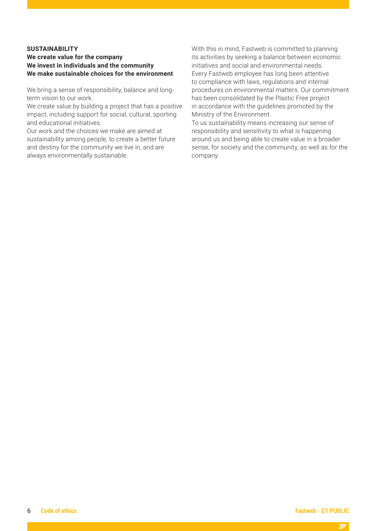#### **SUSTAINABILITY**

#### **We create value for the company We invest in individuals and the community We make sustainable choices for the environment**

We bring a sense of responsibility, balance and longterm vision to our work.

We create value by building a project that has a positive impact, including support for social, cultural, sporting and educational initiatives.

Our work and the choices we make are aimed at sustainability among people, to create a better future and destiny for the community we live in, and are always environmentally sustainable.

With this in mind, Fastweb is committed to planning its activities by seeking a balance between economic initiatives and social and environmental needs. Every Fastweb employee has long been attentive to compliance with laws, regulations and internal procedures on environmental matters. Our commitment has been consolidated by the Plastic Free project in accordance with the guidelines promoted by the Ministry of the Environment.

To us sustainability means increasing our sense of responsibility and sensitivity to what is happening around us and being able to create value in a broader sense, for society and the community, as well as for the company.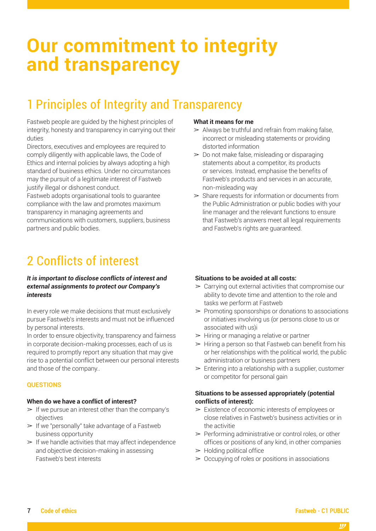## **Our commitment to integrity and transparency**

### 1 Principles of Integrity and Transparency

Fastweb people are guided by the highest principles of integrity, honesty and transparency in carrying out their duties

Directors, executives and employees are required to comply diligently with applicable laws, the Code of Ethics and internal policies by always adopting a high standard of business ethics. Under no circumstances may the pursuit of a legitimate interest of Fastweb justify illegal or dishonest conduct.

Fastweb adopts organisational tools to guarantee compliance with the law and promotes maximum transparency in managing agreements and communications with customers, suppliers, business partners and public bodies.

### 2 Conflicts of interest

#### *It is important to disclose conflicts of interest and external assignments to protect our Company's interests*

In every role we make decisions that must exclusively pursue Fastweb's interests and must not be influenced by personal interests.

In order to ensure objectivity, transparency and fairness in corporate decision-making processes, each of us is required to promptly report any situation that may give rise to a potential conflict between our personal interests and those of the company..

#### **QUESTIONS**

#### **When do we have a conflict of interest?**

- $\triangleright$  If we pursue an interest other than the company's objectives
- $\triangleright$  If we "personally" take advantage of a Fastweb business opportunity
- $\geq$  If we handle activities that may affect independence and objective decision-making in assessing Fastweb's best interests

#### **What it means for me**

- $\geq$  Always be truthful and refrain from making false, incorrect or misleading statements or providing distorted information
- $\geq 0$  not make false, misleading or disparaging statements about a competitor, its products or services. Instead, emphasise the benefits of Fastweb's products and services in an accurate, non-misleading way
- $\geq$  Share requests for information or documents from the Public Administration or public bodies with your line manager and the relevant functions to ensure that Fastweb's answers meet all legal requirements and Fastweb's rights are guaranteed.

#### **Situations to be avoided at all costs:**

- $\geq$  Carrying out external activities that compromise our ability to devote time and attention to the role and tasks we perform at Fastweb
- $\triangleright$  Promoting sponsorships or donations to associations or initiatives involving us (or persons close to us or associated with us)i
- $\triangleright$  Hiring or managing a relative or partner
- $\geq$  Hiring a person so that Fastweb can benefit from his or her relationships with the political world, the public administration or business partners
- $\geq$  Entering into a relationship with a supplier, customer or competitor for personal gain

#### **Situations to be assessed appropriately (potential conflicts of interest):**

- $\geq$  Existence of economic interests of employees or close relatives in Fastweb's business activities or in the activitie
- $\triangleright$  Performing administrative or control roles, or other offices or positions of any kind, in other companies
- $\blacktriangleright$  Holding political office
- $\geq 0$  Ccupying of roles or positions in associations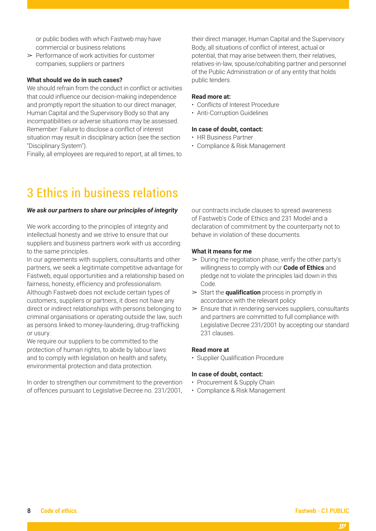or public bodies with which Fastweb may have commercial or business relations

 $\triangleright$  Performance of work activities for customer companies, suppliers or partners

#### **What should we do in such cases?**

We should refrain from the conduct in conflict or activities that could influence our decision-making independence and promptly report the situation to our direct manager, Human Capital and the Supervisory Body so that any incompatibilities or adverse situations may be assessed. Remember: Failure to disclose a conflict of interest situation may result in disciplinary action (see the section "Disciplinary System").

Finally, all employees are required to report, at all times, to

### 3 Ethics in business relations

#### *We ask our partners to share our principles of integrity*

We work according to the principles of integrity and intellectual honesty and we strive to ensure that our suppliers and business partners work with us according to the same principles.

In our agreements with suppliers, consultants and other partners, we seek a legitimate competitive advantage for Fastweb, equal opportunities and a relationship based on fairness, honesty, efficiency and professionalism. Although Fastweb does not exclude certain types of customers, suppliers or partners, it does not have any direct or indirect relationships with persons belonging to criminal organisations or operating outside the law, such as persons linked to money-laundering, drug-trafficking or usury.

We require our suppliers to be committed to the protection of human rights, to abide by labour laws and to comply with legislation on health and safety, environmental protection and data protection.

In order to strengthen our commitment to the prevention of offences pursuant to Legislative Decree no. 231/2001,

their direct manager, Human Capital and the Supervisory Body, all situations of conflict of interest, actual or potential, that may arise between them, their relatives, relatives-in-law, spouse/cohabiting partner and personnel of the Public Administration or of any entity that holds public tenders.

#### **Read more at:**

- Conflicts of Interest Procedure
- Anti-Corruption Guidelines

#### **In case of doubt, contact:**

- HR Business Partner
- Compliance & Risk Management

our contracts include clauses to spread awareness of Fastweb's Code of Ethics and 231 Model and a declaration of commitment by the counterparty not to behave in violation of these documents.

#### **What it means for me**

- $\geq$  During the negotiation phase, verify the other party's willingness to comply with our **Code of Ethics** and pledge not to violate the principles laid down in this Code.
- ➢ Start the **qualification** process in promptly in accordance with the relevant policy.
- $\geq$  Ensure that in rendering services suppliers, consultants and partners are committed to full compliance with Legislative Decree 231/2001 by accepting our standard 231 clauses.

#### **Read more at**

• Supplier Qualification Procedure

#### **In case of doubt, contact:**

- Procurement & Supply Chain
- Compliance & Risk Management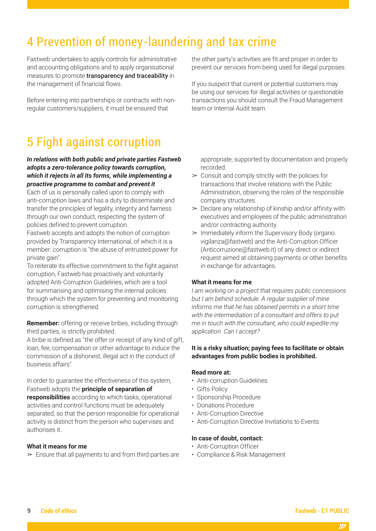### 4 Prevention of money-laundering and tax crime

Fastweb undertakes to apply controls for administrative and accounting obligations and to apply organisational measures to promote transparency and traceability in the management of financial flows.

Before entering into partnerships or contracts with nonregular customers/suppliers, it must be ensured that

5 Fight against corruption

*In relations with both public and private parties Fastweb adopts a zero-tolerance policy towards corruption, which it rejects in all its forms, while implementing a proactive programme to combat and prevent it*

Each of us is personally called upon to comply with anti-corruption laws and has a duty to disseminate and transfer the principles of legality, integrity and fairness through our own conduct, respecting the system of policies defined to prevent corruption.

Fastweb accepts and adopts the notion of corruption provided by Transparency International, of which it is a member: corruption is "the abuse of entrusted power for private gain".

To reiterate its effective commitment to the fight against corruption, Fastweb has proactively and voluntarily adopted Anti-Corruption Guidelines, which are a tool for summarising and optimising the internal policies through which the system for preventing and monitoring corruption is strengthened.

**Remember:** offering or receive bribes, including through third parties, is strictly prohibited.

A bribe is defined as "the offer or receipt of any kind of gift, loan, fee, compensation or other advantage to induce the commission of a dishonest, illegal act in the conduct of business affairs".

In order to guarantee the effectiveness of this system, Fastweb adopts the **principle of separation of responsibilities** according to which tasks, operational activities and control functions must be adequately separated, so that the person responsible for operational activity is distinct from the person who supervises and authorises it.

#### **What it means for me**

 $\geq$  Ensure that all payments to and from third parties are

the other party's activities are fit and proper in order to prevent our services from being used for illegal purposes.

If you suspect that current or potential customers may be using our services for illegal activities or questionable transactions you should consult the Fraud Management team or Internal Audit team.

appropriate, supported by documentation and properly recorded.

- $\geq$  Consult and comply strictly with the policies for transactions that involve relations with the Public Administration, observing the roles of the responsible company structures.
- $\geq$  Declare any relationship of kinship and/or affinity with executives and employees of the public administration and/or contracting authority.
- $\triangleright$  Immediately inform the Supervisory Body (organo. vigilanza@fastweb) and the Anti-Corruption Officer (Anticorruzione@fastweb.it) of any direct or indirect request aimed at obtaining payments or other benefits in exchange for advantages.

#### **What it means for me**

*I am working on a project that requires public concessions but I am behind schedule. A regular supplier of mine informs me that he has obtained permits in a short time with the intermediation of a consultant and offers to put me in touch with the consultant, who could expedite my application. Can I accept?*

#### **It is a risky situation; paying fees to facilitate or obtain advantages from public bodies is prohibited.**

#### **Read more at:**

- Anti-corruption Guidelines
- Gifts Policy
- Sponsorship Procedure
- Donations Procedure
- Anti-Corruption Directive
- Anti-Corruption Directive Invitations to Events

#### **In case of doubt, contact:**

- Anti-Corruption Officer
- Compliance & Risk Management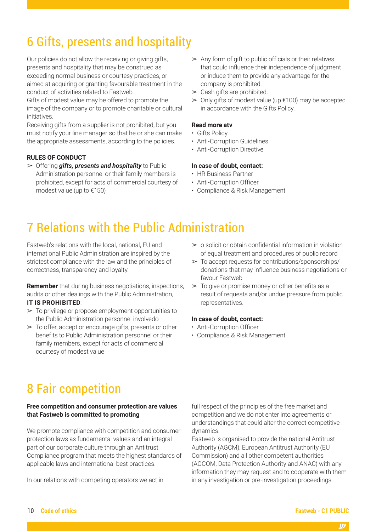### 6 Gifts, presents and hospitality

Our policies do not allow the receiving or giving gifts, presents and hospitality that may be construed as exceeding normal business or courtesy practices, or aimed at acquiring or granting favourable treatment in the conduct of activities related to Fastweb.

Gifts of modest value may be offered to promote the image of the company or to promote charitable or cultural initiatives.

Receiving gifts from a supplier is not prohibited, but you must notify your line manager so that he or she can make the appropriate assessments, according to the policies.

#### **RULES OF CONDUCT**

➢ Offering *gifts, presents and hospitality* to Public Administration personnel or their family members is prohibited, except for acts of commercial courtesy of modest value (up to €150)

- $\geq$  Any form of gift to public officials or their relatives that could influence their independence of judgment or induce them to provide any advantage for the company is prohibited.
- $\geq$  Cash gifts are prohibited.
- $\geq 0$ nly gifts of modest value (up  $\epsilon$ 100) may be accepted in accordance with the Gifts Policy.

#### **Read more atv**:

- Gifts Policy
- Anti-Corruption Guidelines
- Anti-Corruption Directive

#### **In case of doubt, contact:**

- HR Business Partner
- Anti-Corruption Officer
- Compliance & Risk Management

### 7 Relations with the Public Administration

Fastweb's relations with the local, national, EU and international Public Administration are inspired by the strictest compliance with the law and the principles of correctness, transparency and loyalty.

**Remember** that during business negotiations, inspections, audits or other dealings with the Public Administration, **IT IS PROHIBITED**:

- $\geq$  To privilege or propose employment opportunities to the Public Administration personnel involvedo
- $\geq$  To offer, accept or encourage gifts, presents or other benefits to Public Administration personnel or their family members, except for acts of commercial courtesy of modest value
- $\geq$  0 solicit or obtain confidential information in violation of equal treatment and procedures of public record
- $\geq$  To accept requests for contributions/sponsorships/ donations that may influence business negotiations or favour Fastweb
- $\geq$  To give or promise money or other benefits as a result of requests and/or undue pressure from public representatives.

#### **In case of doubt, contact:**

- Anti-Corruption Officer
- Compliance & Risk Management

### 8 Fair competition

#### **Free competition and consumer protection are values that Fastweb is committed to promoting**

We promote compliance with competition and consumer protection laws as fundamental values and an integral part of our corporate culture through an Antitrust Compliance program that meets the highest standards of applicable laws and international best practices.

In our relations with competing operators we act in

full respect of the principles of the free market and competition and we do not enter into agreements or understandings that could alter the correct competitive dynamics.

Fastweb is organised to provide the national Antitrust Authority (AGCM), European Antitrust Authority (EU Commission) and all other competent authorities (AGCOM, Data Protection Authority and ANAC) with any information they may request and to cooperate with them in any investigation or pre-investigation proceedings.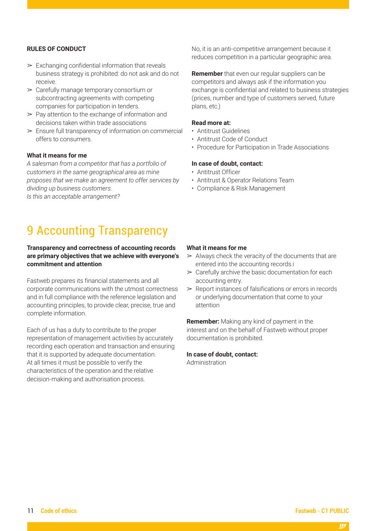#### **RULES OF CONDUCT**

- $\triangleright$  Exchanging confidential information that reveals business strategy is prohibited: do not ask and do not receive.
- ➢ Carefully manage temporary consortium or subcontracting agreements with competing companies for participation in tenders.
- $\geq$  Pay attention to the exchange of information and decisions taken within trade associations
- $\geq$  Ensure full transparency of information on commercial offers to consumers.

#### **What it means for me**

*A salesman from a competitor that has a portfolio of customers in the same geographical area as mine proposes that we make an agreement to offer services by dividing up business customers. Is this an acceptable arrangement?* 

### 9 Accounting Transparency

#### **Transparency and correctness of accounting records are primary objectives that we achieve with everyone's commitment and attention**

Fastweb prepares its financial statements and all corporate communications with the utmost correctness and in full compliance with the reference legislation and accounting principles, to provide clear, precise, true and complete information.

Each of us has a duty to contribute to the proper representation of management activities by accurately recording each operation and transaction and ensuring that it is supported by adequate documentation. At all times it must be possible to verify the characteristics of the operation and the relative decision-making and authorisation process.

No, it is an anti-competitive arrangement because it reduces competition in a particular geographic area.

**Remember** that even our regular suppliers can be competitors and always ask if the information you exchange is confidential and related to business strategies (prices, number and type of customers served, future plans, etc.)

#### **Read more at:**

- Antitrust Guidelines
- Antitrust Code of Conduct
- Procedure for Participation in Trade Associations

#### **In case of doubt, contact:**

- Antitrust Officer
- Antitrust & Operator Relations Team
- Compliance & Risk Management

#### **What it means for me**

- $\geq$  Always check the veracity of the documents that are entered into the accounting records.i
- $\geq$  Carefully archive the basic documentation for each accounting entry.
- $\triangleright$  Report instances of falsifications or errors in records or underlying documentation that come to your attention

**Remember:** Making any kind of payment in the interest and on the behalf of Fastweb without proper documentation is prohibited.

#### **In case of doubt, contact:**

Administration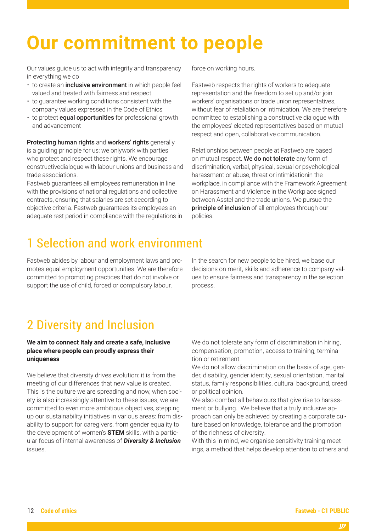## <span id="page-11-0"></span>**Our commitment to people**

Our values guide us to act with integrity and transparency in everything we do

- to create an *inclusive environment* in which people feel valued and treated with fairness and respect
- to guarantee working conditions consistent with the company values expressed in the Code of Ethics
- to protect equal opportunities for professional growth and advancement

Protecting human rights and workers' rights generally is a guiding principle for us: we onlywork with parties who protect and respect these rights. We encourage constructivedialogue with labour unions and business and trade associations.

Fastweb guarantees all employees remuneration in line with the provisions of national regulations and collective contracts, ensuring that salaries are set according to objective criteria. Fastweb guarantees its employees an adequate rest period in compliance with the regulations in force on working hours.

Fastweb respects the rights of workers to adequate representation and the freedom to set up and/or join workers' organisations or trade union representatives, without fear of retaliation or intimidation. We are therefore committed to establishing a constructive dialogue with the employees' elected representatives based on mutual respect and open, collaborative communication.

Relationships between people at Fastweb are based on mutual respect. We do not tolerate any form of discrimination, verbal, physical, sexual or psychological harassment or abuse, threat or intimidationin the workplace, in compliance with the Framework Agreement on Harassment and Violence in the Workplace signed between Asstel and the trade unions. We pursue the principle of inclusion of all employees through our policies.

### 1 Selection and work environment

Fastweb abides by labour and employment laws and promotes equal employment opportunities. We are therefore committed to promoting practices that do not involve or support the use of child, forced or compulsory labour.

In the search for new people to be hired, we base our decisions on merit, skills and adherence to company values to ensure fairness and transparency in the selection process.

### 2 Diversity and Inclusion

#### **We aim to connect Italy and create a safe, inclusive place where people can proudly express their uniqueness**

We believe that diversity drives evolution: it is from the meeting of our differences that new value is created. This is the culture we are spreading and now, when society is also increasingly attentive to these issues, we are committed to even more ambitious objectives, stepping up our sustainability initiatives in various areas: from disability to support for caregivers, from gender equality to the development of women's **STEM** skills, with a particular focus of internal awareness of *Diversity & Inclusion* issues.

We do not tolerate any form of discrimination in hiring, compensation, promotion, access to training, termination or retirement.

We do not allow discrimination on the basis of age, gender, disability, gender identity, sexual orientation, marital status, family responsibilities, cultural background, creed or political opinion.

We also combat all behaviours that give rise to harassment or bullying. We believe that a truly inclusive approach can only be achieved by creating a corporate culture based on knowledge, tolerance and the promotion of the richness of diversity.

With this in mind, we organise sensitivity training meetings, a method that helps develop attention to others and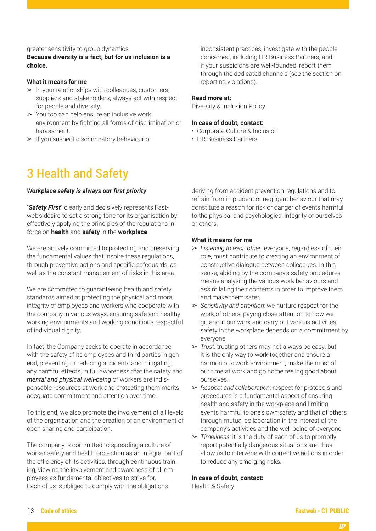#### greater sensitivity to group dynamics.

**Because diversity is a fact, but for us inclusion is a choice.**

#### **What it means for me**

- $>$  In your relationships with colleagues, customers, suppliers and stakeholders, always act with respect for people and diversity.
- $\geq$  You too can help ensure an inclusive work environment by fighting all forms of discrimination or harassment.
- $\triangleright$  If you suspect discriminatory behaviour or

### 3 Health and Safety

#### *Workplace safety is always our first priority*

"*Safety First*" clearly and decisively represents Fastweb's desire to set a strong tone for its organisation by effectively applying the principles of the regulations in force on **health** and **safety** in the **workplace**.

We are actively committed to protecting and preserving the fundamental values that inspire these regulations, through preventive actions and specific safeguards, as well as the constant management of risks in this area.

We are committed to guaranteeing health and safety standards aimed at protecting the physical and moral integrity of employees and workers who cooperate with the company in various ways, ensuring safe and healthy working environments and working conditions respectful of individual dignity.

In fact, the Company seeks to operate in accordance with the safety of its employees and third parties in general, preventing or reducing accidents and mitigating any harmful effects, in full awareness that the safety and *mental and physical well-being* of workers are indispensable resources at work and protecting them merits adequate commitment and attention over time.

To this end, we also promote the involvement of all levels of the organisation and the creation of an environment of open sharing and participation.

The company is committed to spreading a culture of worker safety and health protection as an integral part of the efficiency of its activities, through continuous training, viewing the involvement and awareness of all employees as fundamental objectives to strive for. Each of us is obliged to comply with the obligations

inconsistent practices, investigate with the people concerned, including HR Business Partners, and if your suspicions are well-founded, report them through the dedicated channels (see the section on reporting violations).

#### **Read more at:**

Diversity & Inclusion Policy

#### **In case of doubt, contact:**

- Corporate Culture & Inclusion
- HR Business Partners

deriving from accident prevention regulations and to refrain from imprudent or negligent behaviour that may constitute a reason for risk or danger of events harmful to the physical and psychological integrity of ourselves or others.

#### **What it means for me**

- ➢ *Listening to each other*: everyone, regardless of their role, must contribute to creating an environment of constructive dialogue between colleagues. In this sense, abiding by the company's safety procedures means analysing the various work behaviours and assimilating their contents in order to improve them and make them safer.
- ➢ *Sensitivity and attention:* we nurture respect for the work of others, paying close attention to how we go about our work and carry out various activities; safety in the workplace depends on a commitment by everyone
- ➢ *Trust:* trusting others may not always be easy, but it is the only way to work together and ensure a harmonious work environment, make the most of our time at work and go home feeling good about ourselves.
- ➢ *Respect and collaboration*: respect for protocols and procedures is a fundamental aspect of ensuring health and safety in the workplace and limiting events harmful to one's own safety and that of others through mutual collaboration in the interest of the company's activities and the well-being of everyone
- ➢ *Timeliness:* it is the duty of each of us to promptly report potentially dangerous situations and thus allow us to intervene with corrective actions in order to reduce any emerging risks.

#### **In case of doubt, contact:**

Health & Safety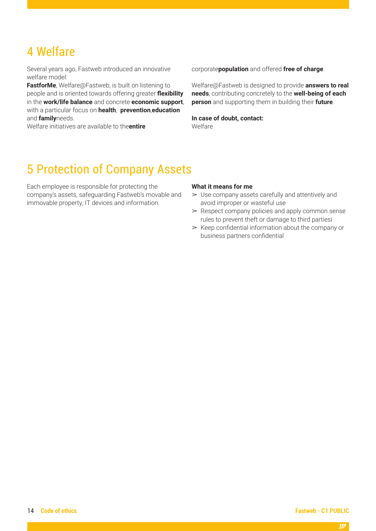### 4 Welfare

Several years ago, Fastweb introduced an innovative welfare model:

**FastforMe**, Welfare@Fastweb, is built on listening to people and is oriented towards offering greater **flexibility** in the **work/life balance** and concrete **economic support**, with a particular focus on **health**, **prevention**,**education** and **family**needs.

Welfare initiatives are available to the**entire** 

corporate**population** and offered **free of charge**.

Welfare@Fastweb is designed to provide **answers to real needs**, contributing concretely to the **well-being of each person** and supporting them in building their **future**.

**In case of doubt, contact:** Welfare

### 5 Protection of Company Assets

Each employee is responsible for protecting the company's assets, safeguarding Fastweb's movable and immovable property, IT devices and information.

#### **What it means for me**

- $\geq$  Use company assets carefully and attentively and avoid improper or wasteful use
- $\geq$  Respect company policies and apply common sense rules to prevent theft or damage to third partiesi
- $\triangleright$  Keep confidential information about the company or business partners confidential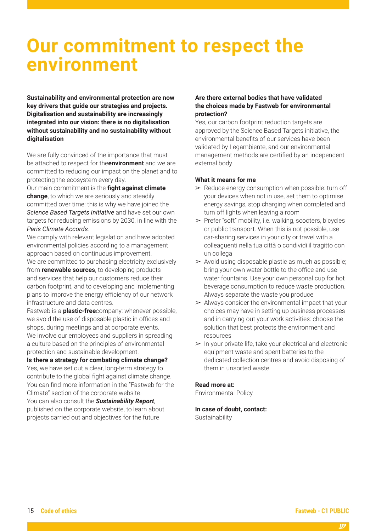## <span id="page-14-0"></span>**Our commitment to respect the environment**

**Sustainability and environmental protection are now key drivers that guide our strategies and projects. Digitalisation and sustainability are increasingly integrated into our vision: there is no digitalisation without sustainability and no sustainability without digitalisation**

We are fully convinced of the importance that must be attached to respect for the**environment** and we are committed to reducing our impact on the planet and to protecting the ecosystem every day.

Our main commitment is the **fight against climate change**, to which we are seriously and steadily committed over time: this is why we have joined the *Science Based Targets Initiative* and have set our own targets for reducing emissions by 2030, in line with the *Paris Climate Accords*.

We comply with relevant legislation and have adopted environmental policies according to a management approach based on continuous improvement. We are committed to purchasing electricity exclusively from **renewable sources**, to developing products and services that help our customers reduce their carbon footprint, and to developing and implementing plans to improve the energy efficiency of our network

infrastructure and data centres. Fastweb is a **plastic-free**company: whenever possible, we avoid the use of disposable plastic in offices and shops, during meetings and at corporate events. We involve our employees and suppliers in spreading a culture based on the principles of environmental protection and sustainable development.

**Is there a strategy for combating climate change?** Yes, we have set out a clear, long-term strategy to contribute to the global fight against climate change. You can find more information in the "Fastweb for the Climate" section of the corporate website.

You can also consult the *Sustainability Report*, published on the corporate website, to learn about projects carried out and objectives for the future

#### **Are there external bodies that have validated the choices made by Fastweb for environmental protection?**

Yes, our carbon footprint reduction targets are approved by the Science Based Targets initiative, the environmental benefits of our services have been validated by Legambiente, and our environmental management methods are certified by an independent external body.

#### **What it means for me**

- $\geq$  Reduce energy consumption when possible: turn off your devices when not in use, set them to optimise energy savings, stop charging when completed and turn off lights when leaving a room
- ➢ Prefer "soft" mobility, i.e. walking, scooters, bicycles or public transport. When this is not possible, use car-sharing services in your city or travel with a colleaguenti nella tua città o condividi il tragitto con un collega
- $\geq$  Avoid using disposable plastic as much as possible; bring your own water bottle to the office and use water fountains. Use your own personal cup for hot beverage consumption to reduce waste production. Always separate the waste you produce
- $\geq$  Always consider the environmental impact that your choices may have in setting up business processes and in carrying out your work activities: choose the solution that best protects the environment and resources
- $>$  In your private life, take your electrical and electronic equipment waste and spent batteries to the dedicated collection centres and avoid disposing of them in unsorted waste

#### **Read more at:**

Environmental Policy

#### **In case of doubt, contact:**

**Sustainability**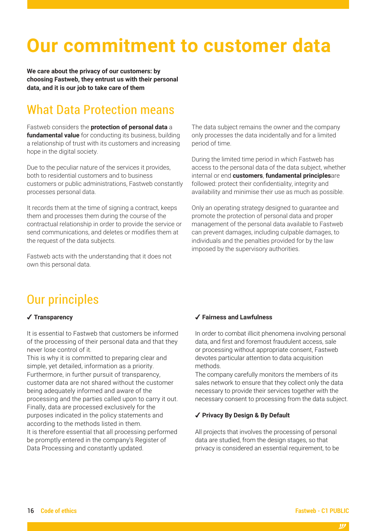## <span id="page-15-0"></span>**Our commitment to customer data**

**We care about the privacy of our customers: by choosing Fastweb, they entrust us with their personal data, and it is our job to take care of them**

### What Data Protection means

Fastweb considers the **protection of personal data** a **fundamental value** for conducting its business, building a relationship of trust with its customers and increasing hope in the digital society.

Due to the peculiar nature of the services it provides, both to residential customers and to business customers or public administrations, Fastweb constantly processes personal data.

It records them at the time of signing a contract, keeps them and processes them during the course of the contractual relationship in order to provide the service or send communications, and deletes or modifies them at the request of the data subjects.

Fastweb acts with the understanding that it does not own this personal data.

The data subject remains the owner and the company only processes the data incidentally and for a limited period of time.

During the limited time period in which Fastweb has access to the personal data of the data subject, whether internal or end **customers**, **fundamental principles**are followed: protect their confidentiality, integrity and availability and minimise their use as much as possible.

Only an operating strategy designed to guarantee and promote the protection of personal data and proper management of the personal data available to Fastweb can prevent damages, including culpable damages, to individuals and the penalties provided for by the law imposed by the supervisory authorities.

### Our principles

#### ✔ **Transparency**

It is essential to Fastweb that customers be informed of the processing of their personal data and that they never lose control of it.

This is why it is committed to preparing clear and simple, yet detailed, information as a priority. Furthermore, in further pursuit of transparency, customer data are not shared without the customer being adequately informed and aware of the processing and the parties called upon to carry it out. Finally, data are processed exclusively for the purposes indicated in the policy statements and according to the methods listed in them. It is therefore essential that all processing performed be promptly entered in the company's Register of Data Processing and constantly updated.

#### ✔ **Fairness and Lawfulness**

In order to combat illicit phenomena involving personal data, and first and foremost fraudulent access, sale or processing without appropriate consent, Fastweb devotes particular attention to data acquisition methods.

The company carefully monitors the members of its sales network to ensure that they collect only the data necessary to provide their services together with the necessary consent to processing from the data subject.

#### ✔ **Privacy By Design & By Default**

All projects that involves the processing of personal data are studied, from the design stages, so that privacy is considered an essential requirement, to be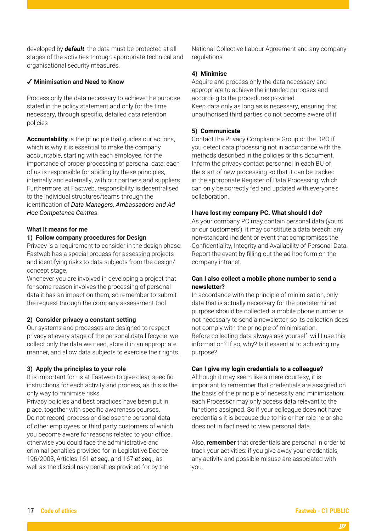developed by *default*: the data must be protected at all stages of the activities through appropriate technical and organisational security measures.

#### ✔ **Minimisation and Need to Know**

Process only the data necessary to achieve the purpose stated in the policy statement and only for the time necessary, through specific, detailed data retention policies

**Accountability** is the principle that guides our actions, which is why it is essential to make the company accountable, starting with each employee, for the importance of proper processing of personal data: each of us is responsible for abiding by these principles, internally and externally, with our partners and suppliers. Furthermore, at Fastweb, responsibility is decentralised to the individual structures/teams through the identification of *Data Managers, Ambassadors and Ad Hoc Competence Centres*.

#### **What it means for me**

#### **1) Follow company procedures for Design**

Privacy is a requirement to consider in the design phase. Fastweb has a special process for assessing projects and identifying risks to data subjects from the design/ concept stage.

Whenever you are involved in developing a project that for some reason involves the processing of personal data it has an impact on them, so remember to submit the request through the company assessment tool

#### **2) Consider privacy a constant setting**

Our systems and processes are designed to respect privacy at every stage of the personal data lifecycle: we collect only the data we need, store it in an appropriate manner, and allow data subjects to exercise their rights.

#### **3) Apply the principles to your role**

It is important for us at Fastweb to give clear, specific instructions for each activity and process, as this is the only way to minimise risks.

Privacy policies and best practices have been put in place, together with specific awareness courses. Do not record, process or disclose the personal data of other employees or third party customers of which you become aware for reasons related to your office, otherwise you could face the administrative and criminal penalties provided for in Legislative Decree 196/2003, Articles 161 *et seq.* and 167 *et seq.*, as well as the disciplinary penalties provided for by the

National Collective Labour Agreement and any company regulations

#### **4) Minimise**

Acquire and process only the data necessary and appropriate to achieve the intended purposes and according to the procedures provided. Keep data only as long as is necessary, ensuring that unauthorised third parties do not become aware of it

#### **5) Communicate**

Contact the Privacy Compliance Group or the DPO if you detect data processing not in accordance with the methods described in the policies or this document. Inform the privacy contact personnel in each BU of the start of new processing so that it can be tracked in the appropriate Register of Data Processing, which can only be correctly fed and updated with everyone's collaboration.

#### **I have lost my company PC. What should I do?**

As your company PC may contain personal data (yours or our customers'), it may constitute a data breach: any non-standard incident or event that compromises the Confidentiality, Integrity and Availability of Personal Data. Report the event by filling out the ad hoc form on the company intranet.

#### **Can I also collect a mobile phone number to send a newsletter?**

In accordance with the principle of minimisation, only data that is actually necessary for the predetermined purpose should be collected: a mobile phone number is not necessary to send a newsletter, so its collection does not comply with the principle of minimisation. Before collecting data always ask yourself: will I use this information? If so, why? Is it essential to achieving my purpose?

#### **Can I give my login credentials to a colleague?**

Although it may seem like a mere courtesy, it is important to remember that credentials are assigned on the basis of the principle of necessity and minimisation: each Processor may only access data relevant to the functions assigned. So if your colleague does not have credentials it is because due to his or her role he or she does not in fact need to view personal data.

Also, **remember** that credentials are personal in order to track your activities: if you give away your credentials, any activity and possible misuse are associated with you.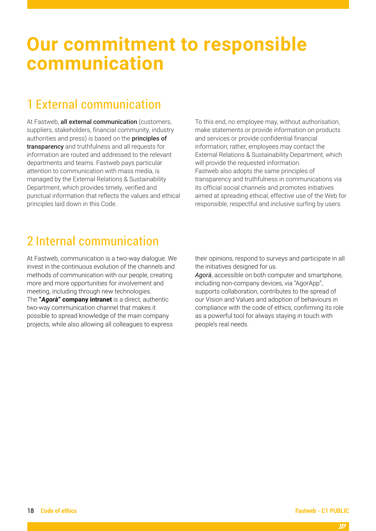## <span id="page-17-0"></span>**Our commitment to responsible communication**

### 1 External communication

At Fastweb, all external communication (customers, suppliers, stakeholders, financial community, industry authorities and press) is based on the principles of transparency and truthfulness and all requests for information are routed and addressed to the relevant departments and teams. Fastweb pays particular attention to communication with mass media, is managed by the External Relations & Sustainability Department, which provides timely, verified and punctual information that reflects the values and ethical principles laid down in this Code.

To this end, no employee may, without authorisation, make statements or provide information on products and services or provide confidential financial information; rather, employees may contact the External Relations & Sustainability Department, which will provide the requested information. Fastweb also adopts the same principles of transparency and truthfulness in communications via its official social channels and promotes initiatives aimed at spreading ethical, effective use of the Web for responsible, respectful and inclusive surfing by users.

### 2 Internal communication

At Fastweb, communication is a two-way dialogue. We invest in the continuous evolution of the channels and methods of communication with our people, creating more and more opportunities for involvement and meeting, including through new technologies. The **"***Agorà***" company intranet** is a direct, authentic two-way communication channel that makes it possible to spread knowledge of the main company projects, while also allowing all colleagues to express

their opinions, respond to surveys and participate in all the initiatives designed for us.

*Agorà*, accessible on both computer and smartphone, including non-company devices, via "AgorApp", supports collaboration, contributes to the spread of our Vision and Values and adoption of behaviours in compliance with the code of ethics, confirming its role as a powerful tool for always staying in touch with people's real needs.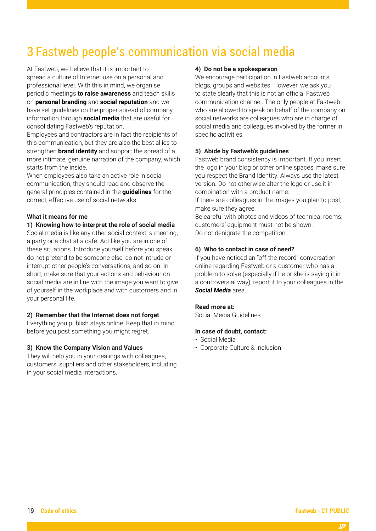### 3 Fastweb people's communication via social media

At Fastweb, we believe that it is important to spread a culture of Internet use on a personal and professional level. With this in mind, we organise periodic meetings **to raise awareness** and teach skills on **personal branding** and **social reputation** and we have set guidelines on the proper spread of company information through **social media** that are useful for consolidating Fastweb's reputation.

Employees and contractors are in fact the recipients of this communication, but they are also the best allies to strengthen **brand identity** and support the spread of a more intimate, genuine narration of the company, which starts from the inside.

When employees also take an active role in social communication, they should read and observe the general principles contained in the **guidelines** for the correct, effective use of social networks:

#### **What it means for me**

#### **1) Knowing how to interpret the role of social media**

Social media is like any other social context: a meeting, a party or a chat at a café. Act like you are in one of these situations. Introduce yourself before you speak, do not pretend to be someone else, do not intrude or interrupt other people's conversations, and so on. In short, make sure that your actions and behaviour on social media are in line with the image you want to give of yourself in the workplace and with customers and in your personal life.

#### **2) Remember that the Internet does not forget**

Everything you publish stays online. Keep that in mind before you post something you might regret.

#### **3) Know the Company Vision and Values**

They will help you in your dealings with colleagues, customers, suppliers and other stakeholders, including in your social media interactions.

#### **4) Do not be a spokesperson**

We encourage participation in Fastweb accounts, blogs, groups and websites. However, we ask you to state clearly that this is not an official Fastweb communication channel. The only people at Fastweb who are allowed to speak on behalf of the company on social networks are colleagues who are in charge of social media and colleagues involved by the former in specific activities.

#### **5) Abide by Fastweb's guidelines**

Fastweb brand consistency is important. If you insert the logo in your blog or other online spaces, make sure you respect the Brand Identity. Always use the latest version. Do not otherwise alter the logo or use it in combination with a product name.

If there are colleagues in the images you plan to post, make sure they agree.

Be careful with photos and videos of technical rooms: customers' equipment must not be shown. Do not denigrate the competition.

#### **6) Who to contact in case of need?**

If you have noticed an "off-the-record" conversation online regarding Fastweb or a customer who has a problem to solve (especially if he or she is saying it in a controversial way), report it to your colleagues in the *Social Media* area.

#### **Read more at:**

Social Media Guidelines

#### **In case of doubt, contact:**

- Social Media
- Corporate Culture & Inclusion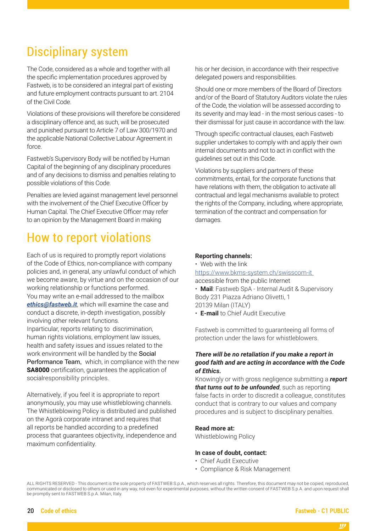### Disciplinary system

The Code, considered as a whole and together with all the specific implementation procedures approved by Fastweb, is to be considered an integral part of existing and future employment contracts pursuant to art. 2104 of the Civil Code.

Violations of these provisions will therefore be considered a disciplinary offence and, as such, will be prosecuted and punished pursuant to Article 7 of Law 300/1970 and the applicable National Collective Labour Agreement in force.

Fastweb's Supervisory Body will be notified by Human Capital of the beginning of any disciplinary procedures and of any decisions to dismiss and penalties relating to possible violations of this Code.

Penalties are levied against management level personnel with the involvement of the Chief Executive Officer by Human Capital. The Chief Executive Officer may refer to an opinion by the Management Board in making

### How to report violations

Each of us is required to promptly report violations of the Code of Ethics, non-compliance with company policies and, in general, any unlawful conduct of which we become aware, by virtue and on the occasion of our working relationship or functions performed. You may write an e-mail addressed to the mailbox *[ethics@fastweb.it](mailto:ethics@fastweb.it)*, which will examine the case and conduct a discrete, in-depth investigation, possibly involving other relevant functions. Inparticular, reports relating to discrimination, human rights violations, employment law issues,

health and safety issues and issues related to the work environment will be handled by the Social Performance Team, which, in compliance with the new **SA8000** certification, quarantees the application of socialresponsibility principles.

Alternatively, if you feel it is appropriate to report anonymously, you may use whistleblowing channels. The Whistleblowing Policy is distributed and published on the Agorà corporate intranet and requires that all reports be handled according to a predefined process that guarantees objectivity, independence and maximum confidentiality.

his or her decision, in accordance with their respective delegated powers and responsibilities.

Should one or more members of the Board of Directors and/or of the Board of Statutory Auditors violate the rules of the Code, the violation will be assessed according to its severity and may lead - in the most serious cases - to their dismissal for just cause in accordance with the law.

Through specific contractual clauses, each Fastweb supplier undertakes to comply with and apply their own internal documents and not to act in conflict with the guidelines set out in this Code.

Violations by suppliers and partners of these commitments, entail, for the corporate functions that have relations with them, the obligation to activate all contractual and legal mechanisms available to protect the rights of the Company, including, where appropriate, termination of the contract and compensation for damages.

#### **Reporting channels**:

• Web with the link [https://www.bkms-system.ch/swisscom-it](https://www.bkms-system.ch/swisscom-it ) 

accessible from the public Internet

• **Mail**: Fastweb SpA - Internal Audit & Supervisory Body 231 Piazza Adriano Olivetti, 1 20139 Milan (ITALY)

• **E-mail** to Chief Audit Executive

Fastweb is committed to guaranteeing all forms of protection under the laws for whistleblowers.

#### *There will be no retaliation if you make a report in good faith and are acting in accordance with the Code of Ethics.*

Knowingly or with gross negligence submitting a *report that turns out to be unfounded*, such as reporting false facts in order to discredit a colleague, constitutes conduct that is contrary to our values and company procedures and is subject to disciplinary penalties.

#### **Read more at:**

Whistleblowing Policy

#### **In case of doubt, contact:**

- Chief Audit Executive
- Compliance & Risk Management

ALL RIGHTS RESERVED - This document is the sole property of FASTWEB S.p.A., which reserves all rights. Therefore, this document may not be copied, reproduced, communicated or disclosed to others or used in any way, not even for experimental purposes, without the written consent of FASTWEB S.p.A. and upon request shall be promptly sent to FASTWEB S.p.A. Milan, Italy.

#### 20 **Code of ethics Fastweb - C1 PUBLIC**